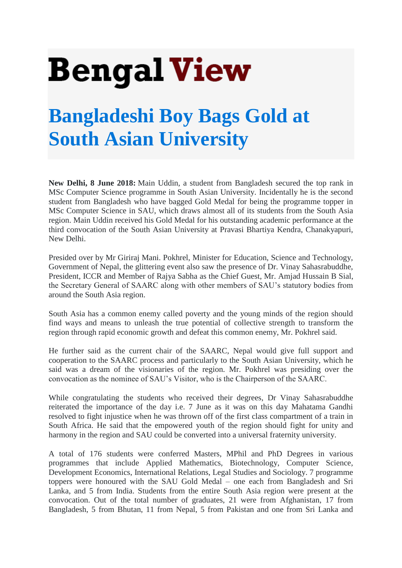## **Bengal View**

## **[Bangladeshi Boy Bags Gold at](https://bengalview.com/English/bangladeshi-boy-bags-gold-at-south-asian-university/)  [South Asian University](https://bengalview.com/English/bangladeshi-boy-bags-gold-at-south-asian-university/)**

**New Delhi, 8 June 2018:** Main Uddin, a student from Bangladesh secured the top rank in MSc Computer Science programme in South Asian University. Incidentally he is the second student from Bangladesh who have bagged Gold Medal for being the programme topper in MSc Computer Science in SAU, which draws almost all of its students from the South Asia region. Main Uddin received his Gold Medal for his outstanding academic performance at the third convocation of the South Asian University at Pravasi Bhartiya Kendra, Chanakyapuri, New Delhi.

Presided over by Mr Giriraj Mani. Pokhrel, Minister for Education, Science and Technology, Government of Nepal, the glittering event also saw the presence of Dr. Vinay Sahasrabuddhe, President, ICCR and Member of Rajya Sabha as the Chief Guest, Mr. Amjad Hussain B Sial, the Secretary General of SAARC along with other members of SAU's statutory bodies from around the South Asia region.

South Asia has a common enemy called poverty and the young minds of the region should find ways and means to unleash the true potential of collective strength to transform the region through rapid economic growth and defeat this common enemy, Mr. Pokhrel said.

He further said as the current chair of the SAARC, Nepal would give full support and cooperation to the SAARC process and particularly to the South Asian University, which he said was a dream of the visionaries of the region. Mr. Pokhrel was presiding over the convocation as the nominee of SAU's Visitor, who is the Chairperson of the SAARC.

While congratulating the students who received their degrees, Dr Vinay Sahasrabuddhe reiterated the importance of the day i.e. 7 June as it was on this day Mahatama Gandhi resolved to fight injustice when he was thrown off of the first class compartment of a train in South Africa. He said that the empowered youth of the region should fight for unity and harmony in the region and SAU could be converted into a universal fraternity university.

A total of 176 students were conferred Masters, MPhil and PhD Degrees in various programmes that include Applied Mathematics, Biotechnology, Computer Science, Development Economics, International Relations, Legal Studies and Sociology. 7 programme toppers were honoured with the SAU Gold Medal – one each from Bangladesh and Sri Lanka, and 5 from India. Students from the entire South Asia region were present at the convocation. Out of the total number of graduates, 21 were from Afghanistan, 17 from Bangladesh, 5 from Bhutan, 11 from Nepal, 5 from Pakistan and one from Sri Lanka and